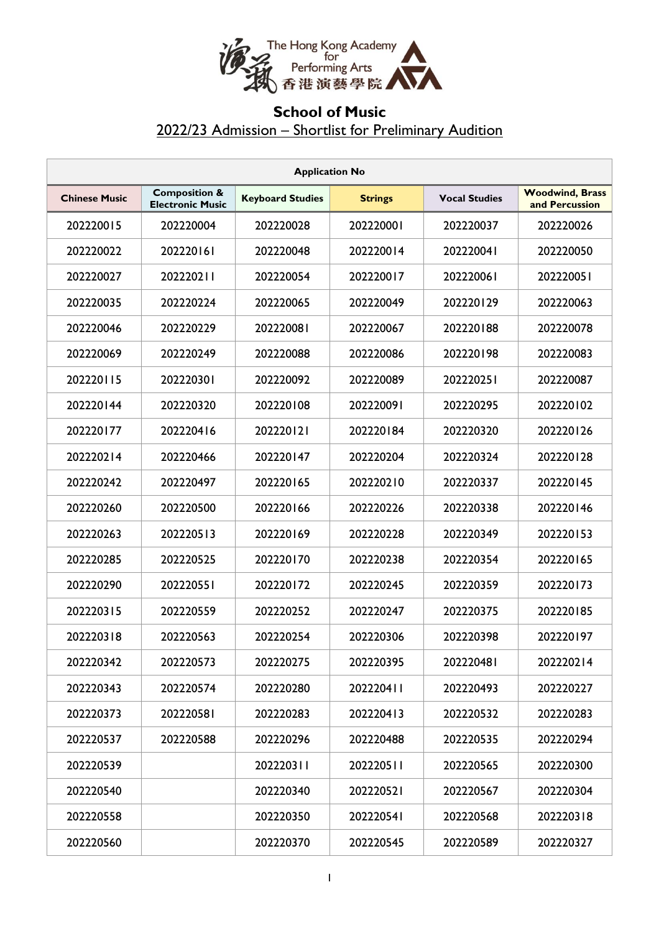

## **School of Music** 2022/23 Admission – Shortlist for Preliminary Audition

| <b>Application No</b> |                                                     |                         |                |                      |                                          |  |  |  |
|-----------------------|-----------------------------------------------------|-------------------------|----------------|----------------------|------------------------------------------|--|--|--|
| <b>Chinese Music</b>  | <b>Composition &amp;</b><br><b>Electronic Music</b> | <b>Keyboard Studies</b> | <b>Strings</b> | <b>Vocal Studies</b> | <b>Woodwind, Brass</b><br>and Percussion |  |  |  |
| 202220015             | 202220004                                           | 202220028               | 202220001      | 202220037            | 202220026                                |  |  |  |
| 202220022             | 202220161                                           | 202220048               | 202220014      | 202220041            | 202220050                                |  |  |  |
| 202220027             | 202220211                                           | 202220054               | 202220017      | 202220061            | 202220051                                |  |  |  |
| 202220035             | 202220224                                           | 202220065               | 202220049      | 202220129            | 202220063                                |  |  |  |
| 202220046             | 202220229                                           | 202220081               | 202220067      | 202220188            | 202220078                                |  |  |  |
| 202220069             | 202220249                                           | 202220088               | 202220086      | 202220198            | 202220083                                |  |  |  |
| 202220115             | 202220301                                           | 202220092               | 202220089      | 202220251            | 202220087                                |  |  |  |
| 202220144             | 202220320                                           | 202220108               | 202220091      | 202220295            | 202220102                                |  |  |  |
| 202220177             | 202220416                                           | 202220121               | 202220184      | 202220320            | 202220126                                |  |  |  |
| 202220214             | 202220466                                           | 202220147               | 202220204      | 202220324            | 202220128                                |  |  |  |
| 202220242             | 202220497                                           | 202220165               | 202220210      | 202220337            | 202220145                                |  |  |  |
| 202220260             | 202220500                                           | 202220166               | 202220226      | 202220338            | 202220146                                |  |  |  |
| 202220263             | 202220513                                           | 202220169               | 202220228      | 202220349            | 202220153                                |  |  |  |
| 202220285             | 202220525                                           | 202220170               | 202220238      | 202220354            | 202220165                                |  |  |  |
| 202220290             | 202220551                                           | 202220172               | 202220245      | 202220359            | 202220173                                |  |  |  |
| 202220315             | 202220559                                           | 202220252               | 202220247      | 202220375            | 202220185                                |  |  |  |
| 202220318             | 202220563                                           | 202220254               | 202220306      | 202220398            | 202220197                                |  |  |  |
| 202220342             | 202220573                                           | 202220275               | 202220395      | 202220481            | 202220214                                |  |  |  |
| 202220343             | 202220574                                           | 202220280               | 202220411      | 202220493            | 202220227                                |  |  |  |
| 202220373             | 202220581                                           | 202220283               | 202220413      | 202220532            | 202220283                                |  |  |  |
| 202220537             | 202220588                                           | 202220296               | 202220488      | 202220535            | 202220294                                |  |  |  |
| 202220539             |                                                     | 202220311               | 202220511      | 202220565            | 202220300                                |  |  |  |
| 202220540             |                                                     | 202220340               | 202220521      | 202220567            | 202220304                                |  |  |  |
| 202220558             |                                                     | 202220350               | 202220541      | 202220568            | 202220318                                |  |  |  |
| 202220560             |                                                     | 202220370               | 202220545      | 202220589            | 202220327                                |  |  |  |